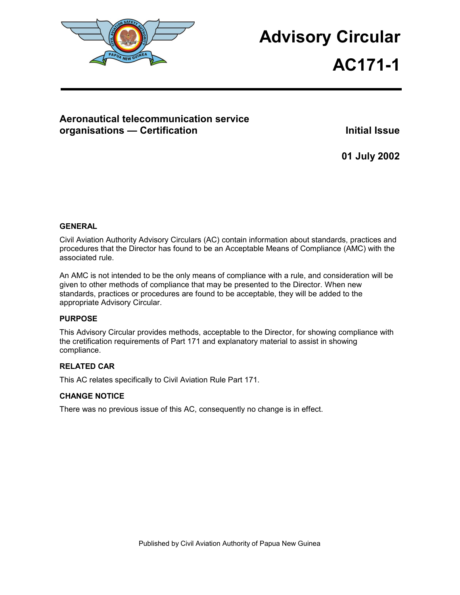

# **Advisory Circular**

# **AC171-1**

# **Aeronautical telecommunication service organisations — Certification Access 20 Million Control Control Control Control Control Control Control Control Control Control Control Control Control Control Control Control Control Control Control Control Control Contr**

**01 July 2002** 

## **GENERAL**

Civil Aviation Authority Advisory Circulars (AC) contain information about standards, practices and procedures that the Director has found to be an Acceptable Means of Compliance (AMC) with the associated rule.

An AMC is not intended to be the only means of compliance with a rule, and consideration will be given to other methods of compliance that may be presented to the Director. When new standards, practices or procedures are found to be acceptable, they will be added to the appropriate Advisory Circular.

## **PURPOSE**

This Advisory Circular provides methods, acceptable to the Director, for showing compliance with the cretification requirements of Part 171 and explanatory material to assist in showing compliance.

## **RELATED CAR**

This AC relates specifically to Civil Aviation Rule Part 171.

## **CHANGE NOTICE**

There was no previous issue of this AC, consequently no change is in effect.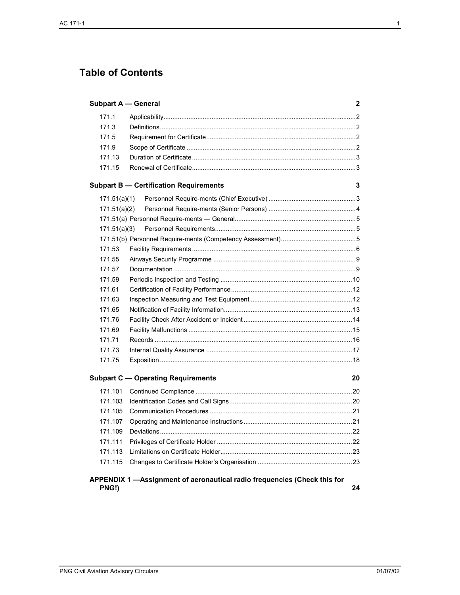# **Table of Contents**

| <b>Subpart A - General</b> |                                                                           | $\mathbf{2}$ |
|----------------------------|---------------------------------------------------------------------------|--------------|
| 171.1                      |                                                                           |              |
| 171.3                      |                                                                           |              |
| 171.5                      |                                                                           |              |
| 171.9                      |                                                                           |              |
| 171.13                     |                                                                           |              |
| 171.15                     |                                                                           |              |
|                            | <b>Subpart B - Certification Requirements</b>                             | 3            |
| 171.51(a)(1)               |                                                                           |              |
| 171.51(a)(2)               |                                                                           |              |
|                            |                                                                           |              |
| 171.51(a)(3)               |                                                                           |              |
|                            |                                                                           |              |
| 171.53                     |                                                                           |              |
| 171.55                     |                                                                           |              |
| 171.57                     |                                                                           |              |
| 171.59                     |                                                                           |              |
| 171.61                     |                                                                           |              |
| 171.63                     |                                                                           |              |
| 171.65                     |                                                                           |              |
| 171.76                     |                                                                           |              |
| 171.69                     |                                                                           |              |
| 171.71                     |                                                                           |              |
| 171.73                     |                                                                           |              |
| 171.75                     |                                                                           |              |
|                            | <b>Subpart C - Operating Requirements</b>                                 | 20           |
| 171.101                    |                                                                           |              |
| 171.103                    |                                                                           |              |
| 171.105                    |                                                                           |              |
| 171.107                    |                                                                           |              |
| 171.109                    |                                                                           |              |
| 171.111                    |                                                                           |              |
| 171.113                    |                                                                           |              |
| 171.115                    |                                                                           |              |
| PNG!)                      | APPENDIX 1 - Assignment of aeronautical radio frequencies (Check this for | 24           |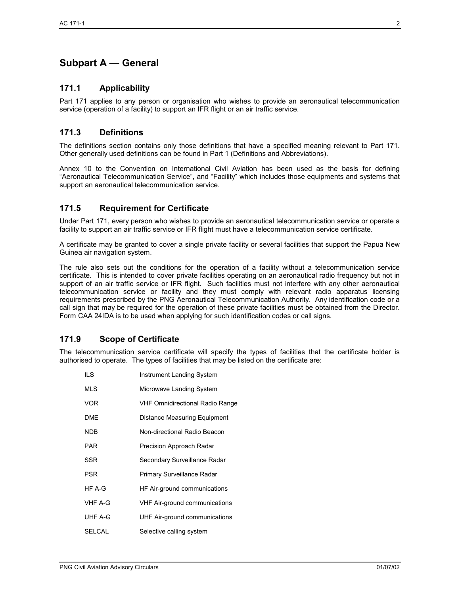# **Subpart A — General**

## **171.1 Applicability**

Part 171 applies to any person or organisation who wishes to provide an aeronautical telecommunication service (operation of a facility) to support an IFR flight or an air traffic service.

## **171.3 Definitions**

The definitions section contains only those definitions that have a specified meaning relevant to Part 171. Other generally used definitions can be found in Part 1 (Definitions and Abbreviations).

Annex 10 to the Convention on International Civil Aviation has been used as the basis for defining "Aeronautical Telecommunication Service", and "Facility" which includes those equipments and systems that support an aeronautical telecommunication service.

## **171.5 Requirement for Certificate**

Under Part 171, every person who wishes to provide an aeronautical telecommunication service or operate a facility to support an air traffic service or IFR flight must have a telecommunication service certificate.

A certificate may be granted to cover a single private facility or several facilities that support the Papua New Guinea air navigation system.

The rule also sets out the conditions for the operation of a facility without a telecommunication service certificate. This is intended to cover private facilities operating on an aeronautical radio frequency but not in support of an air traffic service or IFR flight. Such facilities must not interfere with any other aeronautical telecommunication service or facility and they must comply with relevant radio apparatus licensing requirements prescribed by the PNG Aeronautical Telecommunication Authority. Any identification code or a call sign that may be required for the operation of these private facilities must be obtained from the Director. Form CAA 24IDA is to be used when applying for such identification codes or call signs.

## **171.9 Scope of Certificate**

The telecommunication service certificate will specify the types of facilities that the certificate holder is authorised to operate. The types of facilities that may be listed on the certificate are:

**ILS** Instrument Landing System MLS Microwave Landing System VOR VHF Omnidirectional Radio Range DME Distance Measuring Equipment NDB Non-directional Radio Beacon PAR Precision Approach Radar SSR Secondary Surveillance Radar PSR Primary Surveillance Radar HF A-G HF Air-ground communications VHF A-G VHF Air-ground communications UHF A-G UHF Air-ground communications SELCAL Selective calling system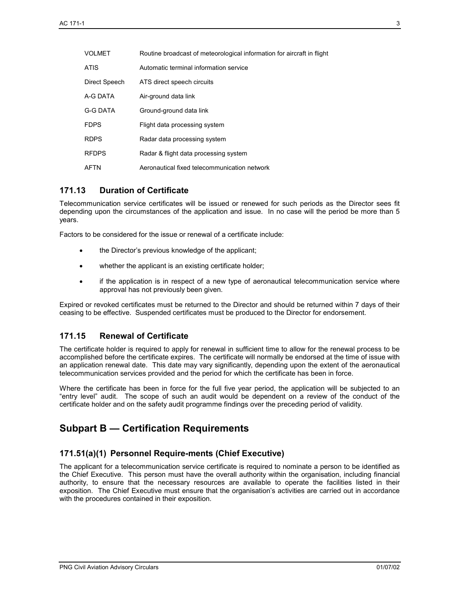| <b>VOLMET</b>   | Routine broadcast of meteorological information for aircraft in flight |
|-----------------|------------------------------------------------------------------------|
| <b>ATIS</b>     | Automatic terminal information service                                 |
| Direct Speech   | ATS direct speech circuits                                             |
| A-G DATA        | Air-ground data link                                                   |
| <b>G-G DATA</b> | Ground-ground data link                                                |
| <b>FDPS</b>     | Flight data processing system                                          |
| <b>RDPS</b>     | Radar data processing system                                           |
| <b>RFDPS</b>    | Radar & flight data processing system                                  |
| AFTN            | Aeronautical fixed telecommunication network                           |

## **171.13 Duration of Certificate**

Telecommunication service certificates will be issued or renewed for such periods as the Director sees fit depending upon the circumstances of the application and issue. In no case will the period be more than 5 years.

Factors to be considered for the issue or renewal of a certificate include:

- the Director's previous knowledge of the applicant;
- whether the applicant is an existing certificate holder;
- if the application is in respect of a new type of aeronautical telecommunication service where approval has not previously been given.

Expired or revoked certificates must be returned to the Director and should be returned within 7 days of their ceasing to be effective. Suspended certificates must be produced to the Director for endorsement.

## **171.15 Renewal of Certificate**

The certificate holder is required to apply for renewal in sufficient time to allow for the renewal process to be accomplished before the certificate expires. The certificate will normally be endorsed at the time of issue with an application renewal date. This date may vary significantly, depending upon the extent of the aeronautical telecommunication services provided and the period for which the certificate has been in force.

Where the certificate has been in force for the full five year period, the application will be subjected to an "entry level" audit. The scope of such an audit would be dependent on a review of the conduct of the certificate holder and on the safety audit programme findings over the preceding period of validity.

## **Subpart B — Certification Requirements**

## **171.51(a)(1) Personnel Require-ments (Chief Executive)**

The applicant for a telecommunication service certificate is required to nominate a person to be identified as the Chief Executive. This person must have the overall authority within the organisation, including financial authority, to ensure that the necessary resources are available to operate the facilities listed in their exposition. The Chief Executive must ensure that the organisation's activities are carried out in accordance with the procedures contained in their exposition.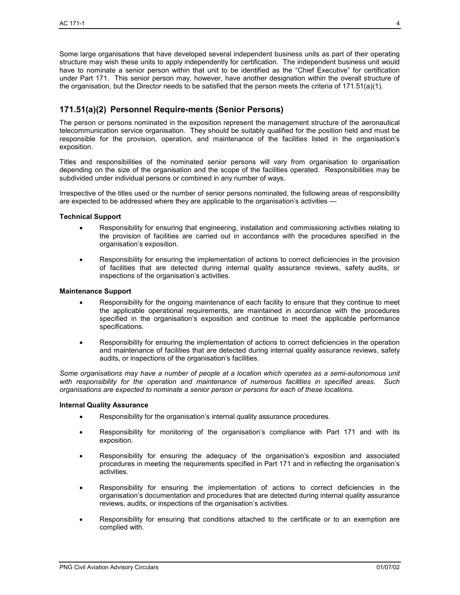Some large organisations that have developed several independent business units as part of their operating structure may wish these units to apply independently for certification. The independent business unit would have to nominate a senior person within that unit to be identified as the "Chief Executive" for certification under Part 171. This senior person may, however, have another designation within the overall structure of the organisation, but the Director needs to be satisfied that the person meets the criteria of 171.51(a)(1).

## **171.51(a)(2) Personnel Require-ments (Senior Persons)**

The person or persons nominated in the exposition represent the management structure of the aeronautical telecommunication service organisation. They should be suitably qualified for the position held and must be responsible for the provision, operation, and maintenance of the facilities listed in the organisation's exposition.

Titles and responsibilities of the nominated senior persons will vary from organisation to organisation depending on the size of the organisation and the scope of the facilities operated. Responsibilities may be subdivided under individual persons or combined in any number of ways.

Irrespective of the titles used or the number of senior persons nominated, the following areas of responsibility are expected to be addressed where they are applicable to the organisation's activities —

#### **Technical Support**

- Responsibility for ensuring that engineering, installation and commissioning activities relating to the provision of facilities are carried out in accordance with the procedures specified in the organisation's exposition.
- Responsibility for ensuring the implementation of actions to correct deficiencies in the provision of facilities that are detected during internal quality assurance reviews, safety audits, or inspections of the organisation's activities.

#### **Maintenance Support**

- Responsibility for the ongoing maintenance of each facility to ensure that they continue to meet the applicable operational requirements, are maintained in accordance with the procedures specified in the organisation's exposition and continue to meet the applicable performance specifications.
- Responsibility for ensuring the implementation of actions to correct deficiencies in the operation and maintenance of facilities that are detected during internal quality assurance reviews, safety audits, or inspections of the organisation's facilities.

*Some organisations may have a number of people at a location which operates as a semi-autonomous unit with responsibility for the operation and maintenance of numerous facilities in specified areas. Such organisations are expected to nominate a senior person or persons for each of these locations.* 

#### **Internal Quality Assurance**

- Responsibility for the organisation's internal quality assurance procedures.
- Responsibility for monitoring of the organisation's compliance with Part 171 and with its exposition.
- Responsibility for ensuring the adequacy of the organisation's exposition and associated procedures in meeting the requirements specified in Part 171 and in reflecting the organisation's activities.
- Responsibility for ensuring the implementation of actions to correct deficiencies in the organisation's documentation and procedures that are detected during internal quality assurance reviews, audits, or inspections of the organisation's activities.
- Responsibility for ensuring that conditions attached to the certificate or to an exemption are complied with.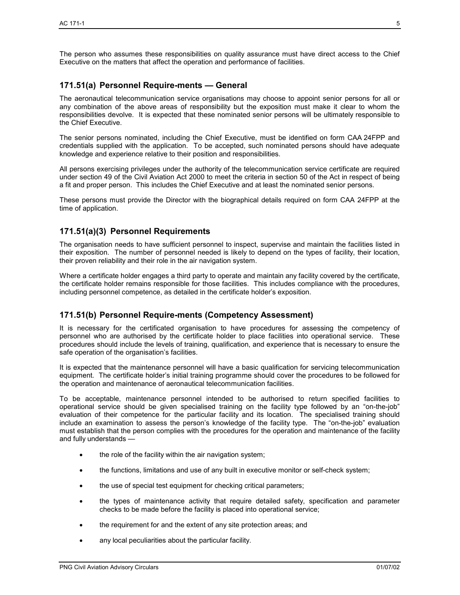The person who assumes these responsibilities on quality assurance must have direct access to the Chief Executive on the matters that affect the operation and performance of facilities.

## **171.51(a) Personnel Require-ments — General**

The aeronautical telecommunication service organisations may choose to appoint senior persons for all or any combination of the above areas of responsibility but the exposition must make it clear to whom the responsibilities devolve. It is expected that these nominated senior persons will be ultimately responsible to the Chief Executive.

The senior persons nominated, including the Chief Executive, must be identified on form CAA 24FPP and credentials supplied with the application. To be accepted, such nominated persons should have adequate knowledge and experience relative to their position and responsibilities.

All persons exercising privileges under the authority of the telecommunication service certificate are required under section 49 of the Civil Aviation Act 2000 to meet the criteria in section 50 of the Act in respect of being a fit and proper person. This includes the Chief Executive and at least the nominated senior persons.

These persons must provide the Director with the biographical details required on form CAA 24FPP at the time of application.

## **171.51(a)(3) Personnel Requirements**

The organisation needs to have sufficient personnel to inspect, supervise and maintain the facilities listed in their exposition. The number of personnel needed is likely to depend on the types of facility, their location, their proven reliability and their role in the air navigation system.

Where a certificate holder engages a third party to operate and maintain any facility covered by the certificate, the certificate holder remains responsible for those facilities. This includes compliance with the procedures, including personnel competence, as detailed in the certificate holder's exposition.

## **171.51(b) Personnel Require-ments (Competency Assessment)**

It is necessary for the certificated organisation to have procedures for assessing the competency of personnel who are authorised by the certificate holder to place facilities into operational service. These procedures should include the levels of training, qualification, and experience that is necessary to ensure the safe operation of the organisation's facilities.

It is expected that the maintenance personnel will have a basic qualification for servicing telecommunication equipment. The certificate holder's initial training programme should cover the procedures to be followed for the operation and maintenance of aeronautical telecommunication facilities.

To be acceptable, maintenance personnel intended to be authorised to return specified facilities to operational service should be given specialised training on the facility type followed by an "on-the-job" evaluation of their competence for the particular facility and its location. The specialised training should include an examination to assess the person's knowledge of the facility type. The "on-the-job" evaluation must establish that the person complies with the procedures for the operation and maintenance of the facility and fully understands —

- the role of the facility within the air navigation system;
- the functions, limitations and use of any built in executive monitor or self-check system;
- the use of special test equipment for checking critical parameters;
- the types of maintenance activity that require detailed safety, specification and parameter checks to be made before the facility is placed into operational service;
- the requirement for and the extent of any site protection areas; and
- any local peculiarities about the particular facility.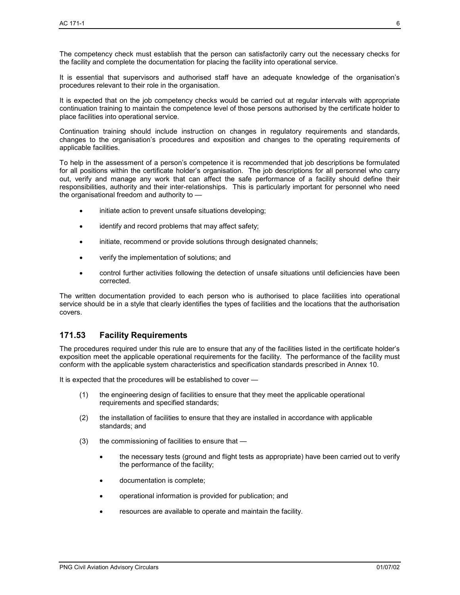The competency check must establish that the person can satisfactorily carry out the necessary checks for the facility and complete the documentation for placing the facility into operational service.

It is essential that supervisors and authorised staff have an adequate knowledge of the organisation's procedures relevant to their role in the organisation.

It is expected that on the job competency checks would be carried out at regular intervals with appropriate continuation training to maintain the competence level of those persons authorised by the certificate holder to place facilities into operational service.

Continuation training should include instruction on changes in regulatory requirements and standards, changes to the organisation's procedures and exposition and changes to the operating requirements of applicable facilities.

To help in the assessment of a person's competence it is recommended that job descriptions be formulated for all positions within the certificate holder's organisation. The job descriptions for all personnel who carry out, verify and manage any work that can affect the safe performance of a facility should define their responsibilities, authority and their inter-relationships. This is particularly important for personnel who need the organisational freedom and authority to —

- initiate action to prevent unsafe situations developing;
- identify and record problems that may affect safety;
- initiate, recommend or provide solutions through designated channels;
- verify the implementation of solutions; and
- control further activities following the detection of unsafe situations until deficiencies have been corrected.

The written documentation provided to each person who is authorised to place facilities into operational service should be in a style that clearly identifies the types of facilities and the locations that the authorisation covers.

## **171.53 Facility Requirements**

The procedures required under this rule are to ensure that any of the facilities listed in the certificate holder's exposition meet the applicable operational requirements for the facility. The performance of the facility must conform with the applicable system characteristics and specification standards prescribed in Annex 10.

It is expected that the procedures will be established to cover —

- (1) the engineering design of facilities to ensure that they meet the applicable operational requirements and specified standards;
- (2) the installation of facilities to ensure that they are installed in accordance with applicable standards; and
- (3) the commissioning of facilities to ensure that
	- the necessary tests (ground and flight tests as appropriate) have been carried out to verifv the performance of the facility;
	- documentation is complete;
	- operational information is provided for publication; and
	- resources are available to operate and maintain the facility.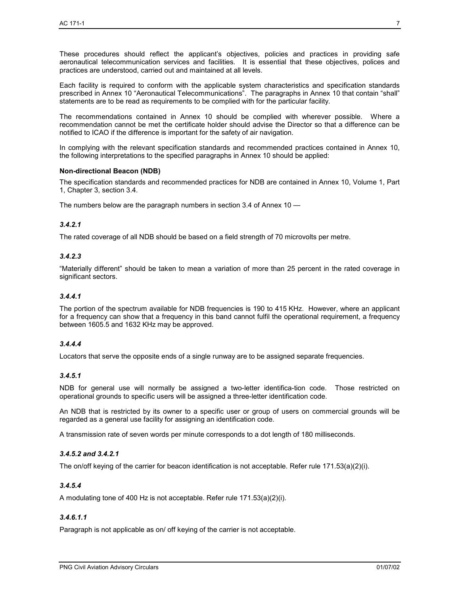These procedures should reflect the applicant's objectives, policies and practices in providing safe aeronautical telecommunication services and facilities. It is essential that these objectives, polices and practices are understood, carried out and maintained at all levels.

Each facility is required to conform with the applicable system characteristics and specification standards prescribed in Annex 10 "Aeronautical Telecommunications". The paragraphs in Annex 10 that contain "shall" statements are to be read as requirements to be complied with for the particular facility.

The recommendations contained in Annex 10 should be complied with wherever possible. Where a recommendation cannot be met the certificate holder should advise the Director so that a difference can be notified to ICAO if the difference is important for the safety of air navigation.

In complying with the relevant specification standards and recommended practices contained in Annex 10, the following interpretations to the specified paragraphs in Annex 10 should be applied:

#### **Non-directional Beacon (NDB)**

The specification standards and recommended practices for NDB are contained in Annex 10, Volume 1, Part 1, Chapter 3, section 3.4.

The numbers below are the paragraph numbers in section 3.4 of Annex 10 —

#### *3.4.2.1*

The rated coverage of all NDB should be based on a field strength of 70 microvolts per metre.

#### *3.4.2.3*

"Materially different" should be taken to mean a variation of more than 25 percent in the rated coverage in significant sectors.

#### *3.4.4.1*

The portion of the spectrum available for NDB frequencies is 190 to 415 KHz. However, where an applicant for a frequency can show that a frequency in this band cannot fulfil the operational requirement, a frequency between 1605.5 and 1632 KHz may be approved.

#### *3.4.4.4*

Locators that serve the opposite ends of a single runway are to be assigned separate frequencies.

#### *3.4.5.1*

NDB for general use will normally be assigned a two-letter identifica-tion code. Those restricted on operational grounds to specific users will be assigned a three-letter identification code.

An NDB that is restricted by its owner to a specific user or group of users on commercial grounds will be regarded as a general use facility for assigning an identification code.

A transmission rate of seven words per minute corresponds to a dot length of 180 milliseconds.

#### *3.4.5.2 and 3.4.2.1*

The on/off keying of the carrier for beacon identification is not acceptable. Refer rule 171.53(a)(2)(i).

#### *3.4.5.4*

A modulating tone of 400 Hz is not acceptable. Refer rule 171.53(a)(2)(i).

## *3.4.6.1.1*

Paragraph is not applicable as on/ off keying of the carrier is not acceptable.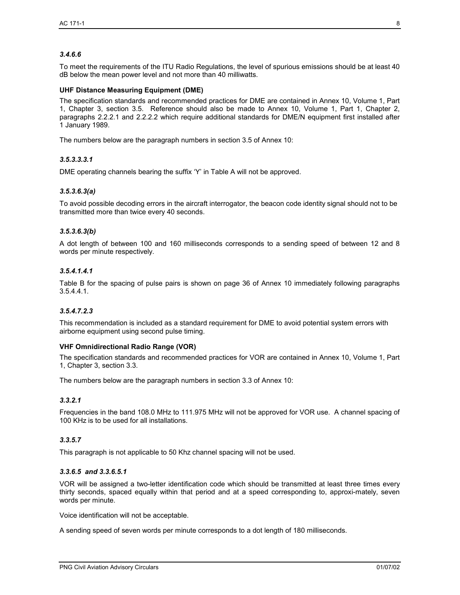## *3.4.6.6*

To meet the requirements of the ITU Radio Regulations, the level of spurious emissions should be at least 40 dB below the mean power level and not more than 40 milliwatts.

#### **UHF Distance Measuring Equipment (DME)**

The specification standards and recommended practices for DME are contained in Annex 10, Volume 1, Part 1, Chapter 3, section 3.5. Reference should also be made to Annex 10, Volume 1, Part 1, Chapter 2, paragraphs 2.2.2.1 and 2.2.2.2 which require additional standards for DME/N equipment first installed after 1 January 1989.

The numbers below are the paragraph numbers in section 3.5 of Annex 10:

#### *3.5.3.3.3.1*

DME operating channels bearing the suffix 'Y' in Table A will not be approved.

#### *3.5.3.6.3(a)*

To avoid possible decoding errors in the aircraft interrogator, the beacon code identity signal should not to be transmitted more than twice every 40 seconds.

#### *3.5.3.6.3(b)*

A dot length of between 100 and 160 milliseconds corresponds to a sending speed of between 12 and 8 words per minute respectively.

#### *3.5.4.1.4.1*

Table B for the spacing of pulse pairs is shown on page 36 of Annex 10 immediately following paragraphs 3.5.4.4.1.

#### *3.5.4.7.2.3*

This recommendation is included as a standard requirement for DME to avoid potential system errors with airborne equipment using second pulse timing.

#### **VHF Omnidirectional Radio Range (VOR)**

The specification standards and recommended practices for VOR are contained in Annex 10, Volume 1, Part 1, Chapter 3, section 3.3.

The numbers below are the paragraph numbers in section 3.3 of Annex 10:

#### *3.3.2.1*

Frequencies in the band 108.0 MHz to 111.975 MHz will not be approved for VOR use. A channel spacing of 100 KHz is to be used for all installations.

#### *3.3.5.7*

This paragraph is not applicable to 50 Khz channel spacing will not be used.

#### *3.3.6.5 and 3.3.6.5.1*

VOR will be assigned a two-letter identification code which should be transmitted at least three times every thirty seconds, spaced equally within that period and at a speed corresponding to, approxi-mately, seven words per minute.

Voice identification will not be acceptable.

A sending speed of seven words per minute corresponds to a dot length of 180 milliseconds.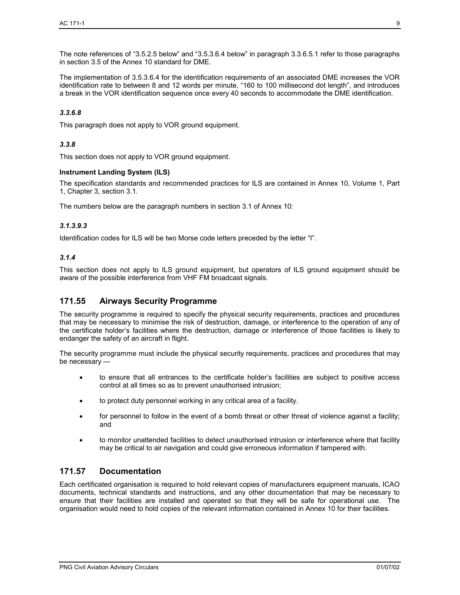The note references of "3.5.2.5 below" and "3.5.3.6.4 below" in paragraph 3.3.6.5.1 refer to those paragraphs in section 3.5 of the Annex 10 standard for DME.

The implementation of 3.5.3.6.4 for the identification requirements of an associated DME increases the VOR identification rate to between 8 and 12 words per minute, "160 to 100 millisecond dot length", and introduces a break in the VOR identification sequence once every 40 seconds to accommodate the DME identification.

#### *3.3.6.8*

This paragraph does not apply to VOR ground equipment.

#### *3.3.8*

This section does not apply to VOR ground equipment.

#### **Instrument Landing System (ILS)**

The specification standards and recommended practices for ILS are contained in Annex 10, Volume 1, Part 1, Chapter 3, section 3.1.

The numbers below are the paragraph numbers in section 3.1 of Annex 10:

#### *3.1.3.9.3*

Identification codes for ILS will be two Morse code letters preceded by the letter "I".

#### *3.1.4*

This section does not apply to ILS ground equipment, but operators of ILS ground equipment should be aware of the possible interference from VHF FM broadcast signals.

## **171.55 Airways Security Programme**

The security programme is required to specify the physical security requirements, practices and procedures that may be necessary to minimise the risk of destruction, damage, or interference to the operation of any of the certificate holder's facilities where the destruction, damage or interference of those facilities is likely to endanger the safety of an aircraft in flight.

The security programme must include the physical security requirements, practices and procedures that may be necessary —

- to ensure that all entrances to the certificate holder's facilities are subject to positive access control at all times so as to prevent unauthorised intrusion;
- to protect duty personnel working in any critical area of a facility.
- for personnel to follow in the event of a bomb threat or other threat of violence against a facility; and
- to monitor unattended facilities to detect unauthorised intrusion or interference where that facility may be critical to air navigation and could give erroneous information if tampered with.

## **171.57 Documentation**

Each certificated organisation is required to hold relevant copies of manufacturers equipment manuals, ICAO documents, technical standards and instructions, and any other documentation that may be necessary to ensure that their facilities are installed and operated so that they will be safe for operational use. The organisation would need to hold copies of the relevant information contained in Annex 10 for their facilities.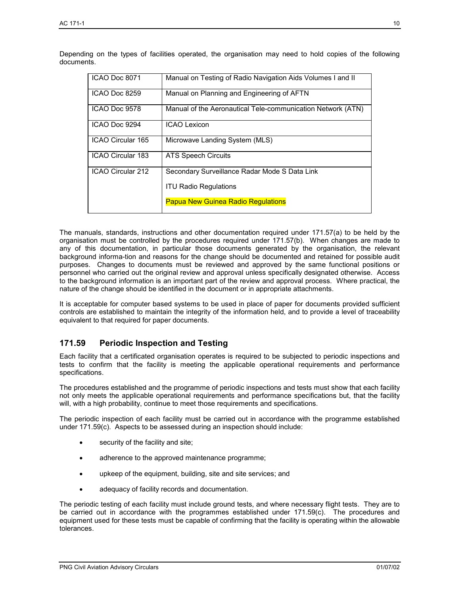| ICAO Doc 8071     | Manual on Testing of Radio Navigation Aids Volumes I and II |
|-------------------|-------------------------------------------------------------|
| ICAO Doc 8259     | Manual on Planning and Engineering of AFTN                  |
| ICAO Doc 9578     | Manual of the Aeronautical Tele-communication Network (ATN) |
| ICAO Doc 9294     | <b>ICAO Lexicon</b>                                         |
| ICAO Circular 165 | Microwave Landing System (MLS)                              |
| ICAO Circular 183 | <b>ATS Speech Circuits</b>                                  |
| ICAO Circular 212 | Secondary Surveillance Radar Mode S Data Link               |
|                   | <b>ITU Radio Regulations</b>                                |
|                   | <b>Papua New Guinea Radio Regulations</b>                   |

Depending on the types of facilities operated, the organisation may need to hold copies of the following documents.

The manuals, standards, instructions and other documentation required under 171.57(a) to be held by the organisation must be controlled by the procedures required under 171.57(b). When changes are made to any of this documentation, in particular those documents generated by the organisation, the relevant background informa-tion and reasons for the change should be documented and retained for possible audit purposes. Changes to documents must be reviewed and approved by the same functional positions or personnel who carried out the original review and approval unless specifically designated otherwise. Access to the background information is an important part of the review and approval process. Where practical, the nature of the change should be identified in the document or in appropriate attachments.

It is acceptable for computer based systems to be used in place of paper for documents provided sufficient controls are established to maintain the integrity of the information held, and to provide a level of traceability equivalent to that required for paper documents.

## **171.59 Periodic Inspection and Testing**

Each facility that a certificated organisation operates is required to be subjected to periodic inspections and tests to confirm that the facility is meeting the applicable operational requirements and performance specifications.

The procedures established and the programme of periodic inspections and tests must show that each facility not only meets the applicable operational requirements and performance specifications but, that the facility will, with a high probability, continue to meet those requirements and specifications.

The periodic inspection of each facility must be carried out in accordance with the programme established under 171.59(c). Aspects to be assessed during an inspection should include:

- security of the facility and site;
- adherence to the approved maintenance programme;
- upkeep of the equipment, building, site and site services; and
- adequacy of facility records and documentation.

The periodic testing of each facility must include ground tests, and where necessary flight tests. They are to be carried out in accordance with the programmes established under 171.59(c). The procedures and equipment used for these tests must be capable of confirming that the facility is operating within the allowable tolerances.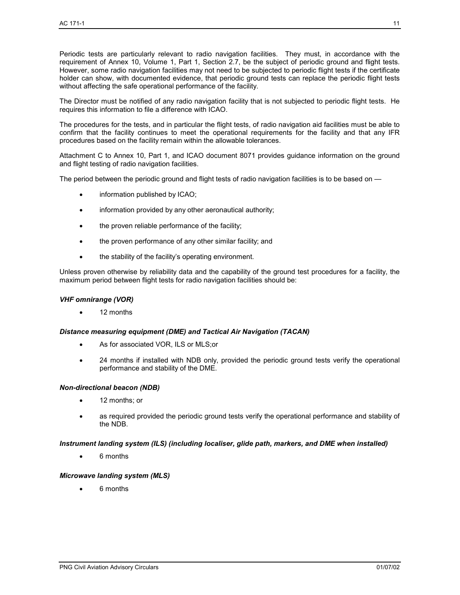Periodic tests are particularly relevant to radio navigation facilities. They must, in accordance with the requirement of Annex 10, Volume 1, Part 1, Section 2.7, be the subject of periodic ground and flight tests. However, some radio navigation facilities may not need to be subjected to periodic flight tests if the certificate holder can show, with documented evidence, that periodic ground tests can replace the periodic flight tests without affecting the safe operational performance of the facility.

The Director must be notified of any radio navigation facility that is not subjected to periodic flight tests. He requires this information to file a difference with ICAO.

The procedures for the tests, and in particular the flight tests, of radio navigation aid facilities must be able to confirm that the facility continues to meet the operational requirements for the facility and that any IFR procedures based on the facility remain within the allowable tolerances.

Attachment C to Annex 10, Part 1, and ICAO document 8071 provides guidance information on the ground and flight testing of radio navigation facilities.

The period between the periodic ground and flight tests of radio navigation facilities is to be based on —

- information published by ICAO;
- information provided by any other aeronautical authority;
- the proven reliable performance of the facility;
- the proven performance of any other similar facility; and
- the stability of the facility's operating environment.

Unless proven otherwise by reliability data and the capability of the ground test procedures for a facility, the maximum period between flight tests for radio navigation facilities should be:

#### *VHF omnirange (VOR)*

• 12 months

#### *Distance measuring equipment (DME) and Tactical Air Navigation (TACAN)*

- As for associated VOR, ILS or MLS;or
- 24 months if installed with NDB only, provided the periodic ground tests verify the operational performance and stability of the DME.

#### *Non-directional beacon (NDB)*

- 12 months; or
- as required provided the periodic ground tests verify the operational performance and stability of the NDB.

#### *Instrument landing system (ILS) (including localiser, glide path, markers, and DME when installed)*

• 6 months

#### *Microwave landing system (MLS)*

• 6 months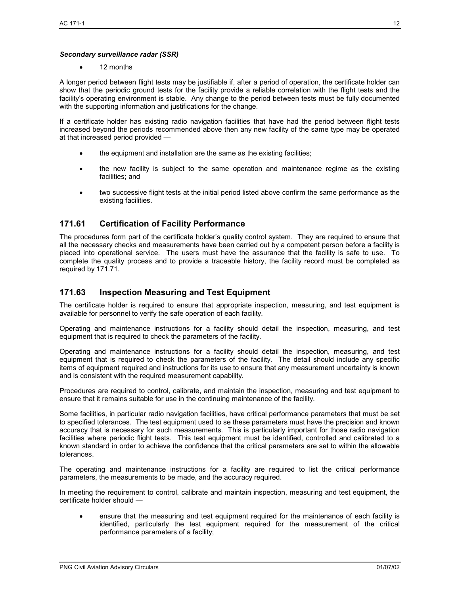#### *Secondary surveillance radar (SSR)*

• 12 months

A longer period between flight tests may be justifiable if, after a period of operation, the certificate holder can show that the periodic ground tests for the facility provide a reliable correlation with the flight tests and the facility's operating environment is stable. Any change to the period between tests must be fully documented with the supporting information and justifications for the change.

If a certificate holder has existing radio navigation facilities that have had the period between flight tests increased beyond the periods recommended above then any new facility of the same type may be operated at that increased period provided —

- the equipment and installation are the same as the existing facilities;
- the new facility is subject to the same operation and maintenance regime as the existing facilities; and
- two successive flight tests at the initial period listed above confirm the same performance as the existing facilities.

## **171.61 Certification of Facility Performance**

The procedures form part of the certificate holder's quality control system. They are required to ensure that all the necessary checks and measurements have been carried out by a competent person before a facility is placed into operational service. The users must have the assurance that the facility is safe to use. To complete the quality process and to provide a traceable history, the facility record must be completed as required by 171.71.

## **171.63 Inspection Measuring and Test Equipment**

The certificate holder is required to ensure that appropriate inspection, measuring, and test equipment is available for personnel to verify the safe operation of each facility.

Operating and maintenance instructions for a facility should detail the inspection, measuring, and test equipment that is required to check the parameters of the facility.

Operating and maintenance instructions for a facility should detail the inspection, measuring, and test equipment that is required to check the parameters of the facility. The detail should include any specific items of equipment required and instructions for its use to ensure that any measurement uncertainty is known and is consistent with the required measurement capability.

Procedures are required to control, calibrate, and maintain the inspection, measuring and test equipment to ensure that it remains suitable for use in the continuing maintenance of the facility.

Some facilities, in particular radio navigation facilities, have critical performance parameters that must be set to specified tolerances. The test equipment used to se these parameters must have the precision and known accuracy that is necessary for such measurements. This is particularly important for those radio navigation facilities where periodic flight tests. This test equipment must be identified, controlled and calibrated to a known standard in order to achieve the confidence that the critical parameters are set to within the allowable tolerances.

The operating and maintenance instructions for a facility are required to list the critical performance parameters, the measurements to be made, and the accuracy required.

In meeting the requirement to control, calibrate and maintain inspection, measuring and test equipment, the certificate holder should —

• ensure that the measuring and test equipment required for the maintenance of each facility is identified, particularly the test equipment required for the measurement of the critical performance parameters of a facility;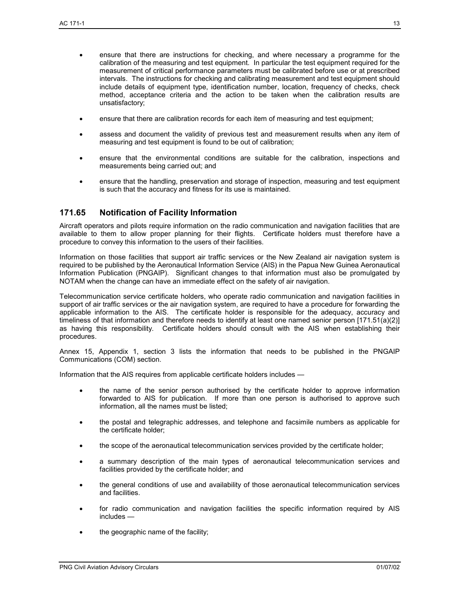- ensure that there are instructions for checking, and where necessary a programme for the calibration of the measuring and test equipment. In particular the test equipment required for the measurement of critical performance parameters must be calibrated before use or at prescribed intervals. The instructions for checking and calibrating measurement and test equipment should include details of equipment type, identification number, location, frequency of checks, check method, acceptance criteria and the action to be taken when the calibration results are unsatisfactory;
- ensure that there are calibration records for each item of measuring and test equipment;
- assess and document the validity of previous test and measurement results when any item of measuring and test equipment is found to be out of calibration;
- ensure that the environmental conditions are suitable for the calibration, inspections and measurements being carried out; and
- ensure that the handling, preservation and storage of inspection, measuring and test equipment is such that the accuracy and fitness for its use is maintained.

## **171.65 Notification of Facility Information**

Aircraft operators and pilots require information on the radio communication and navigation facilities that are available to them to allow proper planning for their flights. Certificate holders must therefore have a procedure to convey this information to the users of their facilities.

Information on those facilities that support air traffic services or the New Zealand air navigation system is required to be published by the Aeronautical Information Service (AIS) in the Papua New Guinea Aeronautical Information Publication (PNGAIP). Significant changes to that information must also be promulgated by NOTAM when the change can have an immediate effect on the safety of air navigation.

Telecommunication service certificate holders, who operate radio communication and navigation facilities in support of air traffic services or the air navigation system, are required to have a procedure for forwarding the applicable information to the AIS. The certificate holder is responsible for the adequacy, accuracy and timeliness of that information and therefore needs to identify at least one named senior person [171.51(a)(2)] as having this responsibility. Certificate holders should consult with the AIS when establishing their procedures.

Annex 15, Appendix 1, section 3 lists the information that needs to be published in the PNGAIP Communications (COM) section.

Information that the AIS requires from applicable certificate holders includes —

- the name of the senior person authorised by the certificate holder to approve information forwarded to AIS for publication. If more than one person is authorised to approve such information, all the names must be listed;
- the postal and telegraphic addresses, and telephone and facsimile numbers as applicable for the certificate holder;
- the scope of the aeronautical telecommunication services provided by the certificate holder;
- a summary description of the main types of aeronautical telecommunication services and facilities provided by the certificate holder; and
- the general conditions of use and availability of those aeronautical telecommunication services and facilities.
- for radio communication and navigation facilities the specific information required by AIS includes —
- the geographic name of the facility;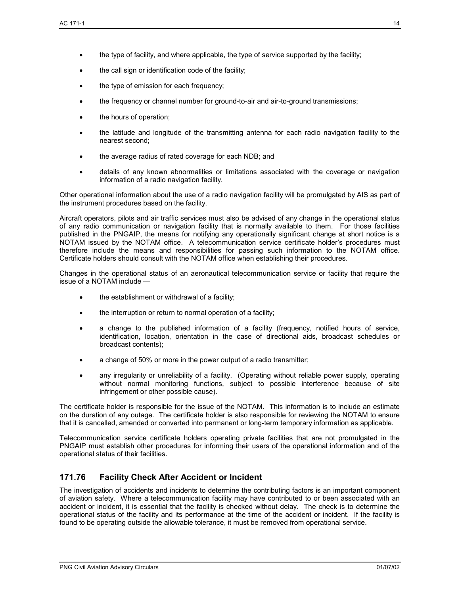- the call sign or identification code of the facility;
- the type of emission for each frequency;
- the frequency or channel number for ground-to-air and air-to-ground transmissions;
- the hours of operation:
- the latitude and longitude of the transmitting antenna for each radio navigation facility to the nearest second;
- the average radius of rated coverage for each NDB; and
- details of any known abnormalities or limitations associated with the coverage or navigation information of a radio navigation facility.

Other operational information about the use of a radio navigation facility will be promulgated by AIS as part of the instrument procedures based on the facility.

Aircraft operators, pilots and air traffic services must also be advised of any change in the operational status of any radio communication or navigation facility that is normally available to them. For those facilities published in the PNGAIP, the means for notifying any operationally significant change at short notice is a NOTAM issued by the NOTAM office. A telecommunication service certificate holder's procedures must therefore include the means and responsibilities for passing such information to the NOTAM office. Certificate holders should consult with the NOTAM office when establishing their procedures.

Changes in the operational status of an aeronautical telecommunication service or facility that require the issue of a NOTAM include —

- the establishment or withdrawal of a facility;
- the interruption or return to normal operation of a facility;
- a change to the published information of a facility (frequency, notified hours of service, identification, location, orientation in the case of directional aids, broadcast schedules or broadcast contents);
- a change of 50% or more in the power output of a radio transmitter;
- any irregularity or unreliability of a facility. (Operating without reliable power supply, operating without normal monitoring functions, subject to possible interference because of site infringement or other possible cause).

The certificate holder is responsible for the issue of the NOTAM. This information is to include an estimate on the duration of any outage. The certificate holder is also responsible for reviewing the NOTAM to ensure that it is cancelled, amended or converted into permanent or long-term temporary information as applicable.

Telecommunication service certificate holders operating private facilities that are not promulgated in the PNGAIP must establish other procedures for informing their users of the operational information and of the operational status of their facilities.

## **171.76 Facility Check After Accident or Incident**

The investigation of accidents and incidents to determine the contributing factors is an important component of aviation safety. Where a telecommunication facility may have contributed to or been associated with an accident or incident, it is essential that the facility is checked without delay. The check is to determine the operational status of the facility and its performance at the time of the accident or incident. If the facility is found to be operating outside the allowable tolerance, it must be removed from operational service.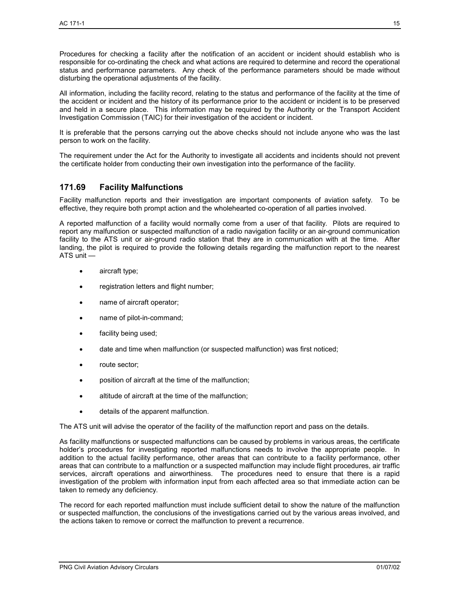Procedures for checking a facility after the notification of an accident or incident should establish who is responsible for co-ordinating the check and what actions are required to determine and record the operational status and performance parameters. Any check of the performance parameters should be made without disturbing the operational adjustments of the facility.

All information, including the facility record, relating to the status and performance of the facility at the time of the accident or incident and the history of its performance prior to the accident or incident is to be preserved and held in a secure place. This information may be required by the Authority or the Transport Accident Investigation Commission (TAIC) for their investigation of the accident or incident.

It is preferable that the persons carrying out the above checks should not include anyone who was the last person to work on the facility.

The requirement under the Act for the Authority to investigate all accidents and incidents should not prevent the certificate holder from conducting their own investigation into the performance of the facility.

## **171.69 Facility Malfunctions**

Facility malfunction reports and their investigation are important components of aviation safety. To be effective, they require both prompt action and the wholehearted co-operation of all parties involved.

A reported malfunction of a facility would normally come from a user of that facility. Pilots are required to report any malfunction or suspected malfunction of a radio navigation facility or an air-ground communication facility to the ATS unit or air-ground radio station that they are in communication with at the time. After landing, the pilot is required to provide the following details regarding the malfunction report to the nearest ATS unit —

- aircraft type;
- registration letters and flight number;
- name of aircraft operator;
- name of pilot-in-command;
- facility being used;
- date and time when malfunction (or suspected malfunction) was first noticed;
- route sector;
- position of aircraft at the time of the malfunction;
- altitude of aircraft at the time of the malfunction;
- details of the apparent malfunction.

The ATS unit will advise the operator of the facility of the malfunction report and pass on the details.

As facility malfunctions or suspected malfunctions can be caused by problems in various areas, the certificate holder's procedures for investigating reported malfunctions needs to involve the appropriate people. In addition to the actual facility performance, other areas that can contribute to a facility performance, other areas that can contribute to a malfunction or a suspected malfunction may include flight procedures, air traffic services, aircraft operations and airworthiness. The procedures need to ensure that there is a rapid investigation of the problem with information input from each affected area so that immediate action can be taken to remedy any deficiency.

The record for each reported malfunction must include sufficient detail to show the nature of the malfunction or suspected malfunction, the conclusions of the investigations carried out by the various areas involved, and the actions taken to remove or correct the malfunction to prevent a recurrence.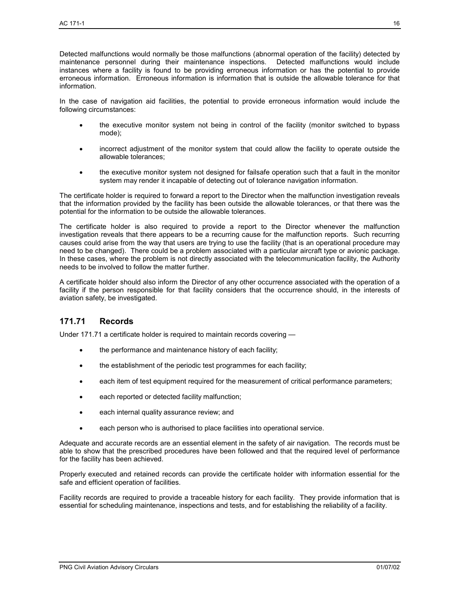Detected malfunctions would normally be those malfunctions (abnormal operation of the facility) detected by maintenance personnel during their maintenance inspections. Detected malfunctions would include instances where a facility is found to be providing erroneous information or has the potential to provide erroneous information. Erroneous information is information that is outside the allowable tolerance for that information.

In the case of navigation aid facilities, the potential to provide erroneous information would include the following circumstances:

- the executive monitor system not being in control of the facility (monitor switched to bypass mode);
- incorrect adjustment of the monitor system that could allow the facility to operate outside the allowable tolerances;
- the executive monitor system not designed for failsafe operation such that a fault in the monitor system may render it incapable of detecting out of tolerance navigation information.

The certificate holder is required to forward a report to the Director when the malfunction investigation reveals that the information provided by the facility has been outside the allowable tolerances, or that there was the potential for the information to be outside the allowable tolerances.

The certificate holder is also required to provide a report to the Director whenever the malfunction investigation reveals that there appears to be a recurring cause for the malfunction reports. Such recurring causes could arise from the way that users are trying to use the facility (that is an operational procedure may need to be changed). There could be a problem associated with a particular aircraft type or avionic package. In these cases, where the problem is not directly associated with the telecommunication facility, the Authority needs to be involved to follow the matter further.

A certificate holder should also inform the Director of any other occurrence associated with the operation of a facility if the person responsible for that facility considers that the occurrence should, in the interests of aviation safety, be investigated.

## **171.71 Records**

Under 171.71 a certificate holder is required to maintain records covering —

- the performance and maintenance history of each facility;
- the establishment of the periodic test programmes for each facility;
- each item of test equipment required for the measurement of critical performance parameters;
- each reported or detected facility malfunction;
- each internal quality assurance review; and
- each person who is authorised to place facilities into operational service.

Adequate and accurate records are an essential element in the safety of air navigation. The records must be able to show that the prescribed procedures have been followed and that the required level of performance for the facility has been achieved.

Properly executed and retained records can provide the certificate holder with information essential for the safe and efficient operation of facilities.

Facility records are required to provide a traceable history for each facility. They provide information that is essential for scheduling maintenance, inspections and tests, and for establishing the reliability of a facility.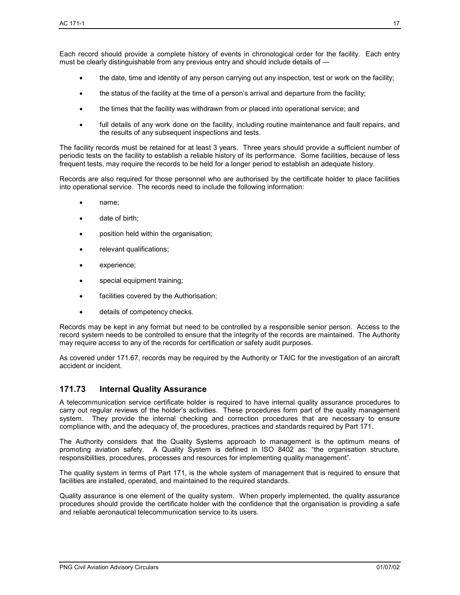Each record should provide a complete history of events in chronological order for the facility. Each entry must be clearly distinguishable from any previous entry and should include details of —

- the date, time and identity of any person carrying out any inspection, test or work on the facility;
- the status of the facility at the time of a person's arrival and departure from the facility;
- the times that the facility was withdrawn from or placed into operational service; and
- full details of any work done on the facility, including routine maintenance and fault repairs, and the results of any subsequent inspections and tests.

The facility records must be retained for at least 3 years. Three years should provide a sufficient number of periodic tests on the facility to establish a reliable history of its performance. Some facilities, because of less frequent tests, may require the records to be held for a longer period to establish an adequate history.

Records are also required for those personnel who are authorised by the certificate holder to place facilities into operational service. The records need to include the following information:

- name;
- date of birth;
- position held within the organisation;
- relevant qualifications;
- experience;
- special equipment training;
- facilities covered by the Authorisation;
- details of competency checks.

Records may be kept in any format but need to be controlled by a responsible senior person. Access to the record system needs to be controlled to ensure that the integrity of the records are maintained. The Authority may require access to any of the records for certification or safety audit purposes.

As covered under 171.67, records may be required by the Authority or TAIC for the investigation of an aircraft accident or incident.

## **171.73 Internal Quality Assurance**

A telecommunication service certificate holder is required to have internal quality assurance procedures to carry out regular reviews of the holder's activities. These procedures form part of the quality management system. They provide the internal checking and correction procedures that are necessary to ensure compliance with, and the adequacy of, the procedures, practices and standards required by Part 171.

The Authority considers that the Quality Systems approach to management is the optimum means of promoting aviation safety. A Quality System is defined in ISO 8402 as: "the organisation structure, responsibilities, procedures, processes and resources for implementing quality management".

The quality system in terms of Part 171, is the whole system of management that is required to ensure that facilities are installed, operated, and maintained to the required standards.

Quality assurance is one element of the quality system. When properly implemented, the quality assurance procedures should provide the certificate holder with the confidence that the organisation is providing a safe and reliable aeronautical telecommunication service to its users.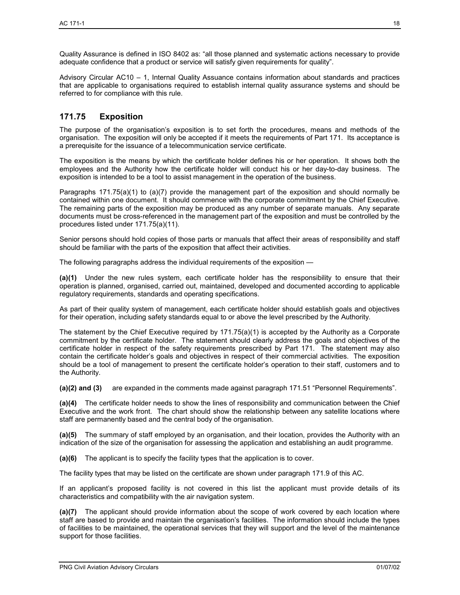adequate confidence that a product or service will satisfy given requirements for quality". Advisory Circular AC10 – 1, Internal Quality Assuance contains information about standards and practices that are applicable to organisations required to establish internal quality assurance systems and should be

## **171.75 Exposition**

referred to for compliance with this rule.

The purpose of the organisation's exposition is to set forth the procedures, means and methods of the organisation. The exposition will only be accepted if it meets the requirements of Part 171. Its acceptance is a prerequisite for the issuance of a telecommunication service certificate.

The exposition is the means by which the certificate holder defines his or her operation. It shows both the employees and the Authority how the certificate holder will conduct his or her day-to-day business. The exposition is intended to be a tool to assist management in the operation of the business.

Paragraphs 171.75(a)(1) to (a)(7) provide the management part of the exposition and should normally be contained within one document. It should commence with the corporate commitment by the Chief Executive. The remaining parts of the exposition may be produced as any number of separate manuals. Any separate documents must be cross-referenced in the management part of the exposition and must be controlled by the procedures listed under 171.75(a)(11).

Senior persons should hold copies of those parts or manuals that affect their areas of responsibility and staff should be familiar with the parts of the exposition that affect their activities.

The following paragraphs address the individual requirements of the exposition —

**(a)(1)** Under the new rules system, each certificate holder has the responsibility to ensure that their operation is planned, organised, carried out, maintained, developed and documented according to applicable regulatory requirements, standards and operating specifications.

As part of their quality system of management, each certificate holder should establish goals and objectives for their operation, including safety standards equal to or above the level prescribed by the Authority.

The statement by the Chief Executive required by  $171.75(a)(1)$  is accepted by the Authority as a Corporate commitment by the certificate holder. The statement should clearly address the goals and objectives of the certificate holder in respect of the safety requirements prescribed by Part 171. The statement may also contain the certificate holder's goals and objectives in respect of their commercial activities. The exposition should be a tool of management to present the certificate holder's operation to their staff, customers and to the Authority.

**(a)(2) and (3)** are expanded in the comments made against paragraph 171.51 "Personnel Requirements".

**(a)(4)** The certificate holder needs to show the lines of responsibility and communication between the Chief Executive and the work front. The chart should show the relationship between any satellite locations where staff are permanently based and the central body of the organisation.

**(a)(5)** The summary of staff employed by an organisation, and their location, provides the Authority with an indication of the size of the organisation for assessing the application and establishing an audit programme.

**(a)(6)** The applicant is to specify the facility types that the application is to cover.

The facility types that may be listed on the certificate are shown under paragraph 171.9 of this AC.

If an applicant's proposed facility is not covered in this list the applicant must provide details of its characteristics and compatibility with the air navigation system.

**(a)(7)** The applicant should provide information about the scope of work covered by each location where staff are based to provide and maintain the organisation's facilities. The information should include the types of facilities to be maintained, the operational services that they will support and the level of the maintenance support for those facilities.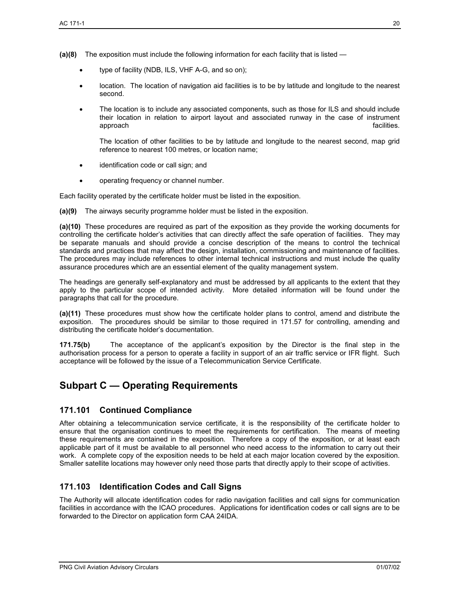- **(a)(8)** The exposition must include the following information for each facility that is listed
	- type of facility (NDB, ILS, VHF A-G, and so on);
	- location. The location of navigation aid facilities is to be by latitude and longitude to the nearest second.
	- The location is to include any associated components, such as those for ILS and should include their location in relation to airport layout and associated runway in the case of instrument approach facilities. approach facilities.

The location of other facilities to be by latitude and longitude to the nearest second, map grid reference to nearest 100 metres, or location name;

- identification code or call sign; and
- operating frequency or channel number.

Each facility operated by the certificate holder must be listed in the exposition.

**(a)(9)** The airways security programme holder must be listed in the exposition.

**(a)(10)** These procedures are required as part of the exposition as they provide the working documents for controlling the certificate holder's activities that can directly affect the safe operation of facilities. They may be separate manuals and should provide a concise description of the means to control the technical standards and practices that may affect the design, installation, commissioning and maintenance of facilities. The procedures may include references to other internal technical instructions and must include the quality assurance procedures which are an essential element of the quality management system.

The headings are generally self-explanatory and must be addressed by all applicants to the extent that they apply to the particular scope of intended activity. More detailed information will be found under the paragraphs that call for the procedure.

**(a)(11)** These procedures must show how the certificate holder plans to control, amend and distribute the exposition. The procedures should be similar to those required in 171.57 for controlling, amending and distributing the certificate holder's documentation.

**171.75(b)** The acceptance of the applicant's exposition by the Director is the final step in the authorisation process for a person to operate a facility in support of an air traffic service or IFR flight. Such acceptance will be followed by the issue of a Telecommunication Service Certificate.

# **Subpart C — Operating Requirements**

## **171.101 Continued Compliance**

After obtaining a telecommunication service certificate, it is the responsibility of the certificate holder to ensure that the organisation continues to meet the requirements for certification. The means of meeting these requirements are contained in the exposition. Therefore a copy of the exposition, or at least each applicable part of it must be available to all personnel who need access to the information to carry out their work. A complete copy of the exposition needs to be held at each major location covered by the exposition. Smaller satellite locations may however only need those parts that directly apply to their scope of activities.

## **171.103 Identification Codes and Call Signs**

The Authority will allocate identification codes for radio navigation facilities and call signs for communication facilities in accordance with the ICAO procedures. Applications for identification codes or call signs are to be forwarded to the Director on application form CAA 24IDA.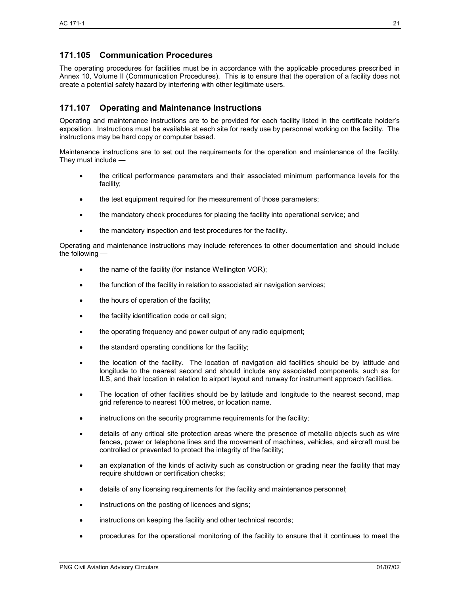## **171.105 Communication Procedures**

The operating procedures for facilities must be in accordance with the applicable procedures prescribed in Annex 10, Volume II (Communication Procedures). This is to ensure that the operation of a facility does not create a potential safety hazard by interfering with other legitimate users.

## **171.107 Operating and Maintenance Instructions**

Operating and maintenance instructions are to be provided for each facility listed in the certificate holder's exposition. Instructions must be available at each site for ready use by personnel working on the facility. The instructions may be hard copy or computer based.

Maintenance instructions are to set out the requirements for the operation and maintenance of the facility. They must include —

- the critical performance parameters and their associated minimum performance levels for the facility;
- the test equipment required for the measurement of those parameters;
- the mandatory check procedures for placing the facility into operational service; and
- the mandatory inspection and test procedures for the facility.

Operating and maintenance instructions may include references to other documentation and should include the following —

- the name of the facility (for instance Wellington VOR);
- the function of the facility in relation to associated air navigation services;
- the hours of operation of the facility;
- the facility identification code or call sign;
- the operating frequency and power output of any radio equipment;
- the standard operating conditions for the facility;
- the location of the facility. The location of navigation aid facilities should be by latitude and longitude to the nearest second and should include any associated components, such as for ILS, and their location in relation to airport layout and runway for instrument approach facilities.
- The location of other facilities should be by latitude and longitude to the nearest second, map grid reference to nearest 100 metres, or location name.
- instructions on the security programme requirements for the facility;
- details of any critical site protection areas where the presence of metallic objects such as wire fences, power or telephone lines and the movement of machines, vehicles, and aircraft must be controlled or prevented to protect the integrity of the facility;
- an explanation of the kinds of activity such as construction or grading near the facility that may require shutdown or certification checks;
- details of any licensing requirements for the facility and maintenance personnel;
- instructions on the posting of licences and signs;
- instructions on keeping the facility and other technical records;
- procedures for the operational monitoring of the facility to ensure that it continues to meet the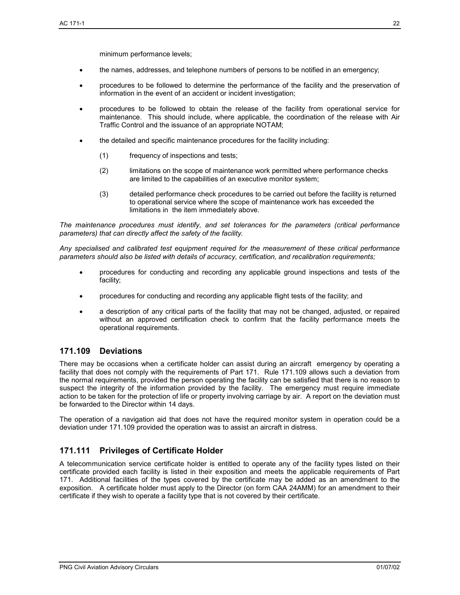- the names, addresses, and telephone numbers of persons to be notified in an emergency;
- procedures to be followed to determine the performance of the facility and the preservation of information in the event of an accident or incident investigation;
- procedures to be followed to obtain the release of the facility from operational service for maintenance. This should include, where applicable, the coordination of the release with Air Traffic Control and the issuance of an appropriate NOTAM;
- the detailed and specific maintenance procedures for the facility including:
	- (1) frequency of inspections and tests;
	- (2) limitations on the scope of maintenance work permitted where performance checks are limited to the capabilities of an executive monitor system;
	- (3) detailed performance check procedures to be carried out before the facility is returned to operational service where the scope of maintenance work has exceeded the limitations in the item immediately above.

*The maintenance procedures must identify, and set tolerances for the parameters (critical performance parameters) that can directly affect the safety of the facility.* 

*Any specialised and calibrated test equipment required for the measurement of these critical performance parameters should also be listed with details of accuracy, certification, and recalibration requirements;* 

- procedures for conducting and recording any applicable ground inspections and tests of the facility;
- procedures for conducting and recording any applicable flight tests of the facility; and
- a description of any critical parts of the facility that may not be changed, adjusted, or repaired without an approved certification check to confirm that the facility performance meets the operational requirements.

## **171.109 Deviations**

There may be occasions when a certificate holder can assist during an aircraft emergency by operating a facility that does not comply with the requirements of Part 171. Rule 171.109 allows such a deviation from the normal requirements, provided the person operating the facility can be satisfied that there is no reason to suspect the integrity of the information provided by the facility. The emergency must require immediate action to be taken for the protection of life or property involving carriage by air. A report on the deviation must be forwarded to the Director within 14 days.

The operation of a navigation aid that does not have the required monitor system in operation could be a deviation under 171.109 provided the operation was to assist an aircraft in distress.

## **171.111 Privileges of Certificate Holder**

A telecommunication service certificate holder is entitled to operate any of the facility types listed on their certificate provided each facility is listed in their exposition and meets the applicable requirements of Part 171. Additional facilities of the types covered by the certificate may be added as an amendment to the exposition. A certificate holder must apply to the Director (on form CAA 24AMM) for an amendment to their certificate if they wish to operate a facility type that is not covered by their certificate.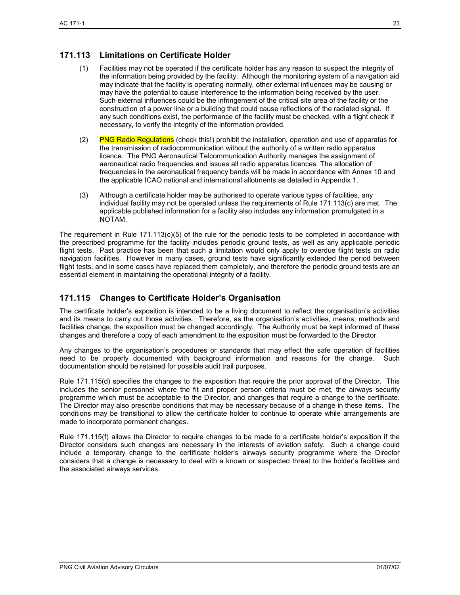## **171.113 Limitations on Certificate Holder**

- (1) Facilities may not be operated if the certificate holder has any reason to suspect the integrity of the information being provided by the facility. Although the monitoring system of a navigation aid may indicate that the facility is operating normally, other external influences may be causing or may have the potential to cause interference to the information being received by the user. Such external influences could be the infringement of the critical site area of the facility or the construction of a power line or a building that could cause reflections of the radiated signal. If any such conditions exist, the performance of the facility must be checked, with a flight check if necessary, to verify the integrity of the information provided.
- (2) PNG Radio Regulations (check this!) prohibit the installation, operation and use of apparatus for the transmission of radiocommunication without the authority of a written radio apparatus licence. The PNG Aeronautical Telcommunication Authority manages the assignment of aeronautical radio frequencies and issues all radio apparatus licences The allocation of frequencies in the aeronautical frequency bands will be made in accordance with Annex 10 and the applicable ICAO national and international allotments as detailed in Appendix 1.
- (3) Although a certificate holder may be authorised to operate various types of facilities, any individual facility may not be operated unless the requirements of Rule 171.113(c) are met. The applicable published information for a facility also includes any information promulgated in a NOTAM.

The requirement in Rule 171.113(c)(5) of the rule for the periodic tests to be completed in accordance with the prescribed programme for the facility includes periodic ground tests, as well as any applicable periodic flight tests. Past practice has been that such a limitation would only apply to overdue flight tests on radio navigation facilities. However in many cases, ground tests have significantly extended the period between flight tests, and in some cases have replaced them completely, and therefore the periodic ground tests are an essential element in maintaining the operational integrity of a facility.

## **171.115 Changes to Certificate Holder's Organisation**

The certificate holder's exposition is intended to be a living document to reflect the organisation's activities and its means to carry out those activities. Therefore, as the organisation's activities, means, methods and facilities change, the exposition must be changed accordingly. The Authority must be kept informed of these changes and therefore a copy of each amendment to the exposition must be forwarded to the Director.

Any changes to the organisation's procedures or standards that may effect the safe operation of facilities need to be properly documented with background information and reasons for the change. Such documentation should be retained for possible audit trail purposes.

Rule 171.115(d) specifies the changes to the exposition that require the prior approval of the Director. This includes the senior personnel where the fit and proper person criteria must be met, the airways security programme which must be acceptable to the Director, and changes that require a change to the certificate. The Director may also prescribe conditions that may be necessary because of a change in these items. The conditions may be transitional to allow the certificate holder to continue to operate while arrangements are made to incorporate permanent changes.

Rule 171.115(f) allows the Director to require changes to be made to a certificate holder's exposition if the Director considers such changes are necessary in the interests of aviation safety. Such a change could include a temporary change to the certificate holder's airways security programme where the Director considers that a change is necessary to deal with a known or suspected threat to the holder's facilities and the associated airways services.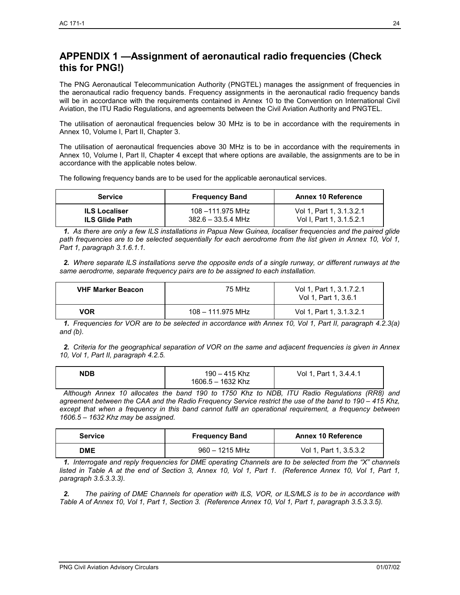# **APPENDIX 1 —Assignment of aeronautical radio frequencies (Check this for PNG!)**

The PNG Aeronautical Telecommunication Authority (PNGTEL) manages the assignment of frequencies in the aeronautical radio frequency bands. Frequency assignments in the aeronautical radio frequency bands will be in accordance with the requirements contained in Annex 10 to the Convention on International Civil Aviation, the ITU Radio Regulations, and agreements between the Civil Aviation Authority and PNGTEL.

The utilisation of aeronautical frequencies below 30 MHz is to be in accordance with the requirements in Annex 10, Volume I, Part II, Chapter 3.

The utilisation of aeronautical frequencies above 30 MHz is to be in accordance with the requirements in Annex 10, Volume I, Part II, Chapter 4 except that where options are available, the assignments are to be in accordance with the applicable notes below.

The following frequency bands are to be used for the applicable aeronautical services.

| <b>Service</b>        | <b>Frequency Band</b> | <b>Annex 10 Reference</b>    |
|-----------------------|-----------------------|------------------------------|
| <b>ILS Localiser</b>  | 108 –111.975 MHz      | Vol 1. Part 1, 3, 1, 3, 2, 1 |
| <b>ILS Glide Path</b> | $382.6 - 33.5.4$ MHz  | Vol I. Part 1, 3, 1, 5, 2, 1 |

*1. As there are only a few ILS installations in Papua New Guinea, localiser frequencies and the paired glide path frequencies are to be selected sequentially for each aerodrome from the list given in Annex 10, Vol 1, Part 1, paragraph 3.1.6.1.1.* 

*2. Where separate ILS installations serve the opposite ends of a single runway, or different runways at the same aerodrome, separate frequency pairs are to be assigned to each installation.* 

| <b>VHF Marker Beacon</b> | 75 MHz            | Vol 1, Part 1, 3.1.7.2.1<br>Vol 1. Part 1, 3.6.1 |
|--------------------------|-------------------|--------------------------------------------------|
| VOR                      | 108 – 111.975 MHz | Vol 1. Part 1, 3, 1, 3, 2, 1                     |

*1. Frequencies for VOR are to be selected in accordance with Annex 10, Vol 1, Part II, paragraph 4.2.3(a) and (b).* 

*2. Criteria for the geographical separation of VOR on the same and adjacent frequencies is given in Annex 10, Vol 1, Part II, paragraph 4.2.5.* 

| <b>NDB</b> | 190 – 415 Khz     | Vol 1, Part 1, 3.4.4.1 |
|------------|-------------------|------------------------|
|            | 1606.5 - 1632 Khz |                        |

 *Although Annex 10 allocates the band 190 to 1750 Khz to NDB, ITU Radio Regulations (RR8) and agreement between the CAA and the Radio Frequency Service restrict the use of the band to 190 – 415 Khz, except that when a frequency in this band cannot fulfil an operational requirement, a frequency between 1606.5 – 1632 Khz may be assigned.* 

| <b>Service</b> | <b>Frequency Band</b> | <b>Annex 10 Reference</b> |
|----------------|-----------------------|---------------------------|
| <b>DME</b>     | $960 - 1215$ MHz      | Vol 1. Part 1, 3,5,3,2    |

*1. Interrogate and reply frequencies for DME operating Channels are to be selected from the "X" channels listed in Table A at the end of Section 3, Annex 10, Vol 1, Part 1. (Reference Annex 10, Vol 1, Part 1, paragraph 3.5.3.3.3).* 

*2. The pairing of DME Channels for operation with ILS, VOR, or ILS/MLS is to be in accordance with Table A of Annex 10, Vol 1, Part 1, Section 3. (Reference Annex 10, Vol 1, Part 1, paragraph 3.5.3.3.5).*